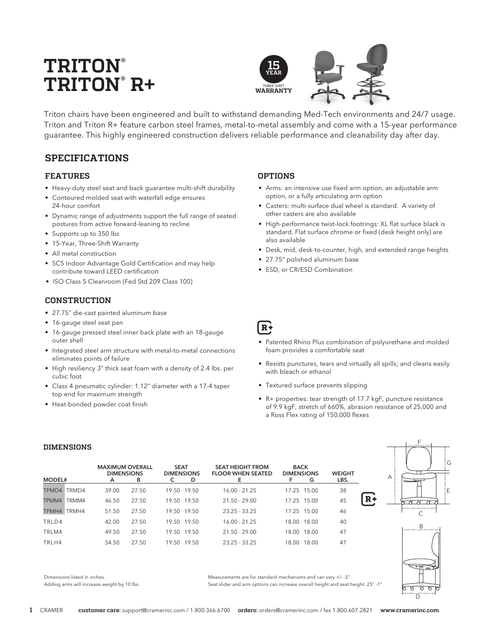# **TRITON® TRITON® R+**



Triton chairs have been engineered and built to withstand demanding Med-Tech environments and 24/7 usage. Triton and Triton R+ feature carbon steel frames, metal-to-metal assembly and come with a 15-year performance guarantee. This highly engineered construction delivers reliable performance and cleanability day after day.

# **SPECIFICATIONS**

## **FEATURES**

- Heavy-duty steel seat and back guarantee multi-shift durability
- Contoured molded seat with waterfall edge ensures 24-hour comfort
- Dynamic range of adjustments support the full range of seated postures from active forward-leaning to recline
- Supports up to 350 lbs
- 15-Year, Three-Shift Warranty
- All metal construction
- SCS Indoor Advantage Gold Certification and may help contribute toward LEED certification
- ISO Class 5 Cleanroom (Fed Std 209 Class 100)

## **CONSTRUCTION**

- 27.75" die-cast painted aluminum base
- 16-gauge steel seat pan
- 16-gauge pressed steel inner back plate with an 18-gauge outer shell
- Integrated steel arm structure with metal-to-metal connections eliminates points of failure
- High resiliency 3" thick seat foam with a density of 2.4 lbs. per cubic foot
- Class 4 pneumatic cylinder: 1.12" diameter with a 17-4 taper top end for maximum strength
- Heat-bonded powder coat finish

## **OPTIONS**

- Arms: an intensive use fixed arm option, an adjustable arm option, or a fully articulating arm option
- Casters: multi-surface dual wheel is standard. A variety of other casters are also available
- High-performance twist-lock footrings: XL flat surface black is standard. Flat surface chrome or fixed (desk height only) are also available
- Desk, mid, desk-to-counter, high, and extended range heights
- 27.75" polished aluminum base
- ESD, or CR/ESD Combination
- $R+$
- Patented Rhino Plus combination of polyurethane and molded foam provides a comfortable seat
- Resists punctures, tears and virtually all spills; and cleans easily with bleach or ethanol
- Textured surface prevents slipping
- R+ properties: tear strength of 17.7 kgF, puncture resistance of 9.9 kgF, stretch of 660%, abrasion resistance of 25,000 and a Ross Flex rating of 150,000 flexes

## **DIMENSIONS**

| MODEL#      |       | <b>MAXIMUM OVERALL</b><br><b>DIMENSIONS</b><br>A | в     | <b>SEAT</b> | <b>DIMENSIONS</b><br>D | <b>SEAT HEIGHT FROM</b><br><b>FLOOR WHEN SEATED</b> | <b>BACK</b><br><b>DIMENSIONS</b> | G           | <b>WEIGHT</b><br>LBS. |
|-------------|-------|--------------------------------------------------|-------|-------------|------------------------|-----------------------------------------------------|----------------------------------|-------------|-----------------------|
| TPMD4       | TRMD4 | 39.00                                            | 27.50 |             | 19.50 19.50            | $16.00 - 21.25$                                     |                                  | 17.25 15.00 | 38                    |
| TPMM4       | TRMM4 | 46.50                                            | 27.50 |             | 19.50 19.50            | $21.50 - 29.00$                                     |                                  | 17.25 15.00 | 45                    |
| TPMH4 TRMH4 |       | 51.50                                            | 27.50 |             | 19.50 19.50            | $23.25 - 33.25$                                     |                                  | 17.25 15.00 | 46                    |
| TRLD4       |       | 42.00                                            | 27.50 |             | 19.50 19.50            | $16.00 - 21.25$                                     | 18.00                            | 18.00       | 40                    |
| TRLM4       |       | 49.50                                            | 27.50 |             | 19.50 19.50            | $21.50 - 29.00$                                     | 18.00                            | 18.00       | 47                    |
| TRLH4       |       | 54.50                                            | 27.50 |             | 19.50 19.50            | $23.25 - 33.25$                                     | 18.00                            | 18.00       | 47                    |





Dimensions listed in inches.

Adding arms will increase weight by 10 lbs.

Measurements are for standard mechanisms and can vary +/- .5". Seat slider and arm options can increase overall height and seat height .25" -1"